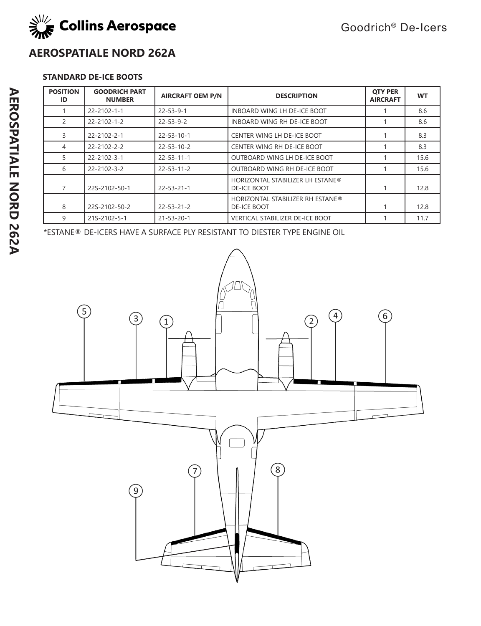

## **AEROSPATIALE NORD 262A**

## **STANDARD DE-ICE BOOTS**

| <b>POSITION</b><br>ID | <b>GOODRICH PART</b><br><b>NUMBER</b> | <b>AIRCRAFT OEM P/N</b> | <b>DESCRIPTION</b>                                     | <b>OTY PER</b><br><b>AIRCRAFT</b> | <b>WT</b> |
|-----------------------|---------------------------------------|-------------------------|--------------------------------------------------------|-----------------------------------|-----------|
|                       | $22 - 2102 - 1 - 1$                   | $22 - 53 - 9 - 1$       | INBOARD WING LH DE-ICE BOOT                            |                                   | 8.6       |
| 2                     | $22 - 2102 - 1 - 2$                   | $22 - 53 - 9 - 2$       | INBOARD WING RH DE-ICE BOOT                            |                                   | 8.6       |
| 3                     | $22 - 2102 - 2 - 1$                   | $22 - 53 - 10 - 1$      | CENTER WING LH DE-ICE BOOT                             |                                   | 8.3       |
| $\overline{4}$        | $22 - 2102 - 2 - 2$                   | $22 - 53 - 10 - 2$      | CENTER WING RH DE-ICE BOOT                             |                                   | 8.3       |
| 5                     | $22 - 2102 - 3 - 1$                   | $22 - 53 - 11 - 1$      | OUTBOARD WING LH DE-ICE BOOT                           |                                   | 15.6      |
| 6                     | $22 - 2102 - 3 - 2$                   | $22 - 53 - 11 - 2$      | OUTBOARD WING RH DE-ICE BOOT                           |                                   | 15.6      |
| 7                     | 22S-2102-50-1                         | $22 - 53 - 21 - 1$      | <b>HORIZONTAL STABILIZER LH ESTANE®</b><br>DE-ICE BOOT |                                   | 12.8      |
| 8                     | 22S-2102-50-2                         | $22 - 53 - 21 - 2$      | HORIZONTAL STABILIZER RH ESTANE®<br>DE-ICE BOOT        |                                   | 12.8      |
| 9                     | 21S-2102-5-1                          | $21 - 53 - 20 - 1$      | <b>VERTICAL STABILIZER DE-ICE BOOT</b>                 |                                   | 11.7      |

\*ESTANE® DE-ICERS HAVE A SURFACE PLY RESISTANT TO DIESTER TYPE ENGINE OIL